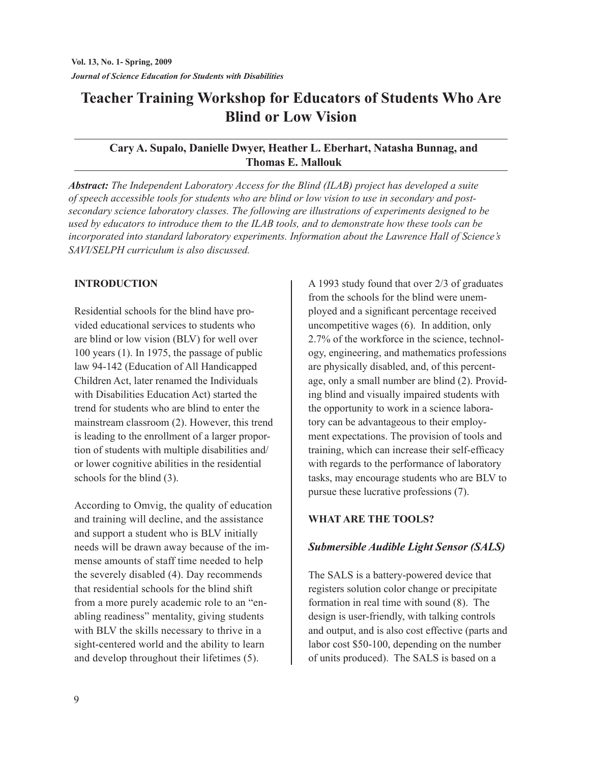# **Teacher Training Workshop for Educators of Students Who Are Blind or Low Vision**

## **Cary A. Supalo, Danielle Dwyer, Heather L. Eberhart, Natasha Bunnag, and Thomas E. Mallouk**

*Abstract: The Independent Laboratory Access for the Blind (ILAB) project has developed a suite of speech accessible tools for students who are blind or low vision to use in secondary and postsecondary science laboratory classes. The following are illustrations of experiments designed to be used by educators to introduce them to the ILAB tools, and to demonstrate how these tools can be incorporated into standard laboratory experiments. Information about the Lawrence Hall of Science's SAVI/SELPH curriculum is also discussed.* 

## **INTroDuCTIoN**

Residential schools for the blind have provided educational services to students who are blind or low vision (BLV) for well over 100 years (1). In 1975, the passage of public law 94-142 (Education of All Handicapped Children Act, later renamed the Individuals with Disabilities Education Act) started the trend for students who are blind to enter the mainstream classroom (2). However, this trend is leading to the enrollment of a larger proportion of students with multiple disabilities and/ or lower cognitive abilities in the residential schools for the blind (3).

According to Omvig, the quality of education and training will decline, and the assistance and support a student who is BLV initially needs will be drawn away because of the immense amounts of staff time needed to help the severely disabled (4). Day recommends that residential schools for the blind shift from a more purely academic role to an "enabling readiness" mentality, giving students with BLV the skills necessary to thrive in a sight-centered world and the ability to learn and develop throughout their lifetimes (5).

A 1993 study found that over 2/3 of graduates from the schools for the blind were unemployed and a significant percentage received uncompetitive wages (6). In addition, only 2.7% of the workforce in the science, technology, engineering, and mathematics professions are physically disabled, and, of this percentage, only a small number are blind (2). Providing blind and visually impaired students with the opportunity to work in a science laboratory can be advantageous to their employment expectations. The provision of tools and training, which can increase their self-efficacy with regards to the performance of laboratory tasks, may encourage students who are BLV to pursue these lucrative professions (7).

# **WHAT ArE THE TooLS?**

# *Submersible Audible Light Sensor (SALS)*

The SALS is a battery-powered device that registers solution color change or precipitate formation in real time with sound (8). The design is user-friendly, with talking controls and output, and is also cost effective (parts and labor cost \$50-100, depending on the number of units produced). The SALS is based on a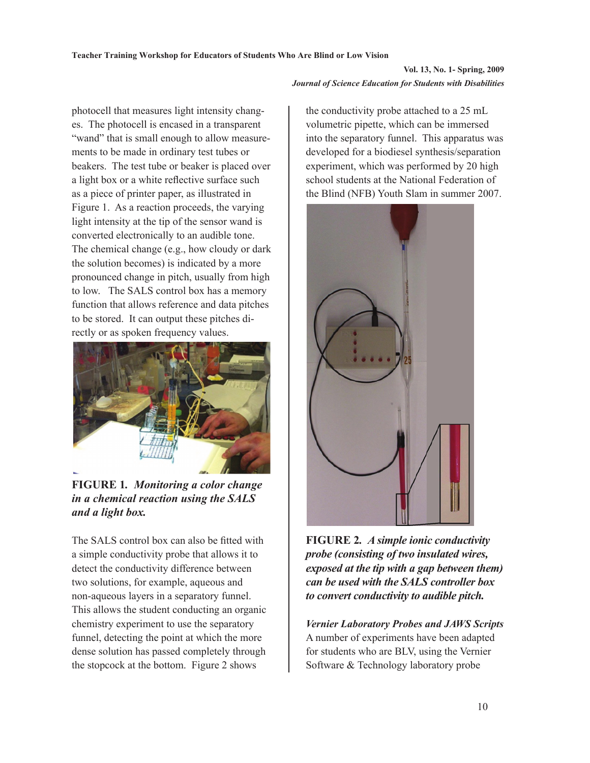photocell that measures light intensity changes. The photocell is encased in a transparent "wand" that is small enough to allow measurements to be made in ordinary test tubes or beakers. The test tube or beaker is placed over a light box or a white reflective surface such as a piece of printer paper, as illustrated in Figure 1. As a reaction proceeds, the varying light intensity at the tip of the sensor wand is converted electronically to an audible tone. The chemical change (e.g., how cloudy or dark the solution becomes) is indicated by a more pronounced change in pitch, usually from high to low. The SALS control box has a memory function that allows reference and data pitches to be stored. It can output these pitches directly or as spoken frequency values.



**FIGURE 1***. Monitoring a color change in a chemical reaction using the SALS and a light box.*

The SALS control box can also be fitted with a simple conductivity probe that allows it to detect the conductivity difference between two solutions, for example, aqueous and non-aqueous layers in a separatory funnel. This allows the student conducting an organic chemistry experiment to use the separatory funnel, detecting the point at which the more dense solution has passed completely through the stopcock at the bottom. Figure 2 shows

the conductivity probe attached to a 25 mL volumetric pipette, which can be immersed into the separatory funnel. This apparatus was developed for a biodiesel synthesis/separation experiment, which was performed by 20 high school students at the National Federation of the Blind (NFB) Youth Slam in summer 2007.



**FIGURE 2***. A simple ionic conductivity probe (consisting of two insulated wires, exposed at the tip with a gap between them) can be used with the SALS controller box to convert conductivity to audible pitch.*

*Vernier Laboratory Probes and JAWS Scripts* A number of experiments have been adapted for students who are BLV, using the Vernier Software & Technology laboratory probe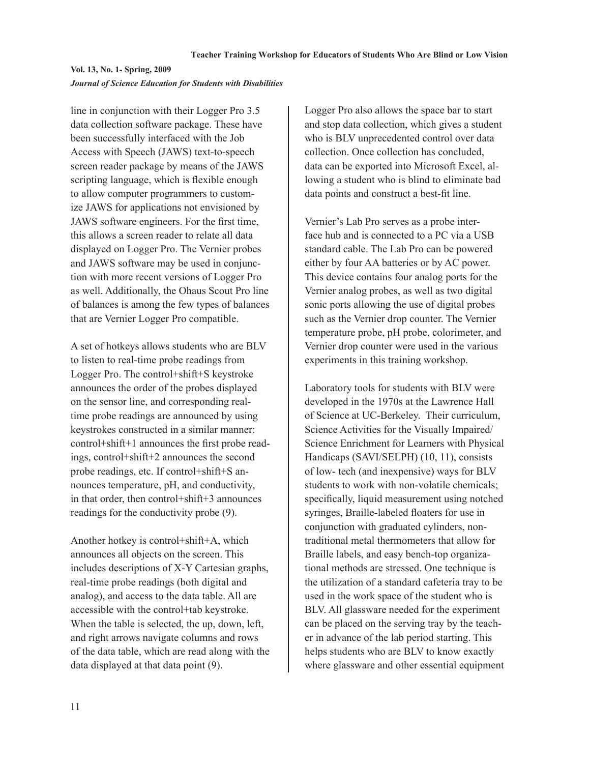line in conjunction with their Logger Pro 3.5 data collection software package. These have been successfully interfaced with the Job Access with Speech (JAWS) text-to-speech screen reader package by means of the JAWS scripting language, which is flexible enough to allow computer programmers to customize JAWS for applications not envisioned by JAWS software engineers. For the first time, this allows a screen reader to relate all data displayed on Logger Pro. The Vernier probes and JAWS software may be used in conjunction with more recent versions of Logger Pro as well. Additionally, the Ohaus Scout Pro line of balances is among the few types of balances that are Vernier Logger Pro compatible.

A set of hotkeys allows students who are BLV to listen to real-time probe readings from Logger Pro. The control+shift+S keystroke announces the order of the probes displayed on the sensor line, and corresponding realtime probe readings are announced by using keystrokes constructed in a similar manner: control+shift+1 announces the first probe readings, control+shift+2 announces the second probe readings, etc. If control+shift+S announces temperature, pH, and conductivity, in that order, then control+shift+3 announces readings for the conductivity probe (9).

Another hotkey is control+shift+A, which announces all objects on the screen. This includes descriptions of X-Y Cartesian graphs, real-time probe readings (both digital and analog), and access to the data table. All are accessible with the control+tab keystroke. When the table is selected, the up, down, left, and right arrows navigate columns and rows of the data table, which are read along with the data displayed at that data point (9).

Logger Pro also allows the space bar to start and stop data collection, which gives a student who is BLV unprecedented control over data collection. Once collection has concluded, data can be exported into Microsoft Excel, allowing a student who is blind to eliminate bad data points and construct a best-fit line.

Vernier's Lab Pro serves as a probe interface hub and is connected to a PC via a USB standard cable. The Lab Pro can be powered either by four AA batteries or by AC power. This device contains four analog ports for the Vernier analog probes, as well as two digital sonic ports allowing the use of digital probes such as the Vernier drop counter. The Vernier temperature probe, pH probe, colorimeter, and Vernier drop counter were used in the various experiments in this training workshop.

Laboratory tools for students with BLV were developed in the 1970s at the Lawrence Hall of Science at UC-Berkeley. Their curriculum, Science Activities for the Visually Impaired/ Science Enrichment for Learners with Physical Handicaps (SAVI/SELPH) (10, 11), consists of low- tech (and inexpensive) ways for BLV students to work with non-volatile chemicals; specifically, liquid measurement using notched syringes, Braille-labeled floaters for use in conjunction with graduated cylinders, nontraditional metal thermometers that allow for Braille labels, and easy bench-top organizational methods are stressed. One technique is the utilization of a standard cafeteria tray to be used in the work space of the student who is BLV. All glassware needed for the experiment can be placed on the serving tray by the teacher in advance of the lab period starting. This helps students who are BLV to know exactly where glassware and other essential equipment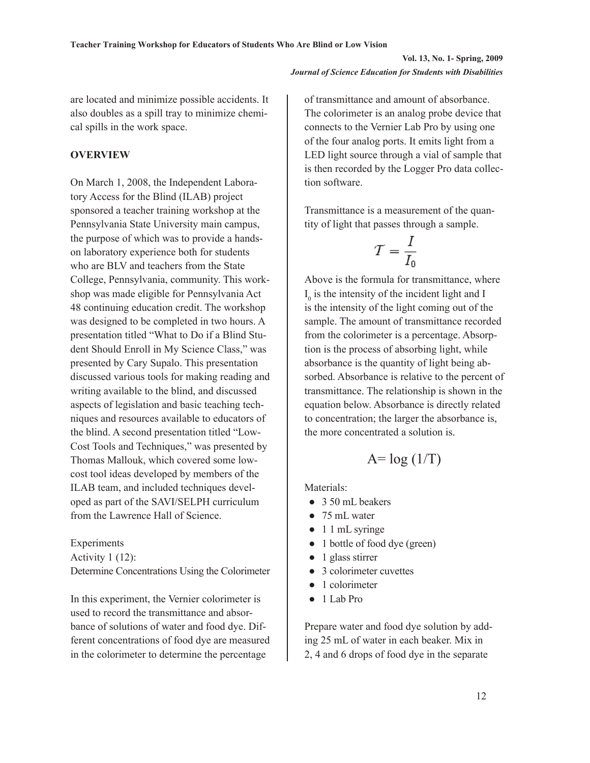are located and minimize possible accidents. It also doubles as a spill tray to minimize chemical spills in the work space.

#### **OVERVIEW**

On March 1, 2008, the Independent Laboratory Access for the Blind (ILAB) project sponsored a teacher training workshop at the Pennsylvania State University main campus, the purpose of which was to provide a handson laboratory experience both for students who are BLV and teachers from the State College, Pennsylvania, community. This workshop was made eligible for Pennsylvania Act 48 continuing education credit. The workshop was designed to be completed in two hours. A presentation titled "What to Do if a Blind Student Should Enroll in My Science Class," was presented by Cary Supalo. This presentation discussed various tools for making reading and writing available to the blind, and discussed aspects of legislation and basic teaching techniques and resources available to educators of the blind. A second presentation titled "Low-Cost Tools and Techniques," was presented by Thomas Mallouk, which covered some lowcost tool ideas developed by members of the ILAB team, and included techniques developed as part of the SAVI/SELPH curriculum from the Lawrence Hall of Science.

Experiments

Activity 1 (12): Determine Concentrations Using the Colorimeter

In this experiment, the Vernier colorimeter is used to record the transmittance and absorbance of solutions of water and food dye. Different concentrations of food dye are measured in the colorimeter to determine the percentage

of transmittance and amount of absorbance. The colorimeter is an analog probe device that connects to the Vernier Lab Pro by using one of the four analog ports. It emits light from a LED light source through a vial of sample that is then recorded by the Logger Pro data collection software.

Transmittance is a measurement of the quantity of light that passes through a sample.

$$
T = \frac{I}{I_0}
$$

Above is the formula for transmittance, where  $I_0$  is the intensity of the incident light and I is the intensity of the light coming out of the sample. The amount of transmittance recorded from the colorimeter is a percentage. Absorption is the process of absorbing light, while absorbance is the quantity of light being absorbed. Absorbance is relative to the percent of transmittance. The relationship is shown in the equation below. Absorbance is directly related to concentration; the larger the absorbance is, the more concentrated a solution is.

# $A = log(1/T)$

Materials:

- 3.50 mL beakers
- 75 mL water
- 1 1 mL syringe
- 1 bottle of food dye (green)
- 1 glass stirrer
- 3 colorimeter cuvettes
- 1 colorimeter
- 1 Lab Pro

Prepare water and food dye solution by adding 25 mL of water in each beaker. Mix in 2, 4 and 6 drops of food dye in the separate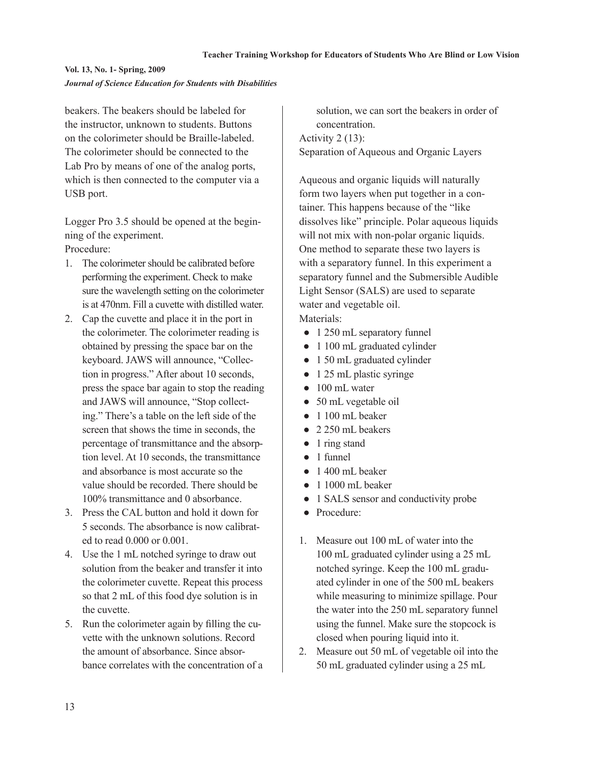beakers. The beakers should be labeled for the instructor, unknown to students. Buttons on the colorimeter should be Braille-labeled. The colorimeter should be connected to the Lab Pro by means of one of the analog ports, which is then connected to the computer via a USB port.

Logger Pro 3.5 should be opened at the beginning of the experiment. Procedure:

- 1. The colorimeter should be calibrated before performing the experiment. Check to make sure the wavelength setting on the colorimeter is at 470nm. Fill a cuvette with distilled water.
- 2. Cap the cuvette and place it in the port in the colorimeter. The colorimeter reading is obtained by pressing the space bar on the keyboard. JAWS will announce, "Collection in progress." After about 10 seconds, press the space bar again to stop the reading and JAWS will announce, "Stop collecting." There's a table on the left side of the screen that shows the time in seconds, the percentage of transmittance and the absorption level. At 10 seconds, the transmittance and absorbance is most accurate so the value should be recorded. There should be 100% transmittance and 0 absorbance.
- 3. Press the CAL button and hold it down for 5 seconds. The absorbance is now calibrated to read 0.000 or 0.001.
- 4. Use the 1 mL notched syringe to draw out solution from the beaker and transfer it into the colorimeter cuvette. Repeat this process so that 2 mL of this food dye solution is in the cuvette.
- 5. Run the colorimeter again by filling the cuvette with the unknown solutions. Record the amount of absorbance. Since absorbance correlates with the concentration of a

solution, we can sort the beakers in order of concentration. Activity 2 (13): Separation of Aqueous and Organic Layers

Aqueous and organic liquids will naturally form two layers when put together in a container. This happens because of the "like dissolves like" principle. Polar aqueous liquids will not mix with non-polar organic liquids. One method to separate these two layers is with a separatory funnel. In this experiment a separatory funnel and the Submersible Audible Light Sensor (SALS) are used to separate water and vegetable oil.

Materials:

- 1 250 mL separatory funnel
- 1 100 mL graduated cylinder
- 1 50 mL graduated cylinder
- 1 25 mL plastic syringe
- 100 mL water
- 50 mL vegetable oil
- 1 100 mL beaker
- 2 250 mL beakers
- 1 ring stand
- 1 funnel
- $\bullet$  1 400 mL beaker
- 1 1000 mL beaker
- 1 SALS sensor and conductivity probe
- Procedure:
- 1. Measure out 100 mL of water into the 100 mL graduated cylinder using a 25 mL notched syringe. Keep the 100 mL graduated cylinder in one of the 500 mL beakers while measuring to minimize spillage. Pour the water into the 250 mL separatory funnel using the funnel. Make sure the stopcock is closed when pouring liquid into it.
- 2. Measure out 50 mL of vegetable oil into the 50 mL graduated cylinder using a 25 mL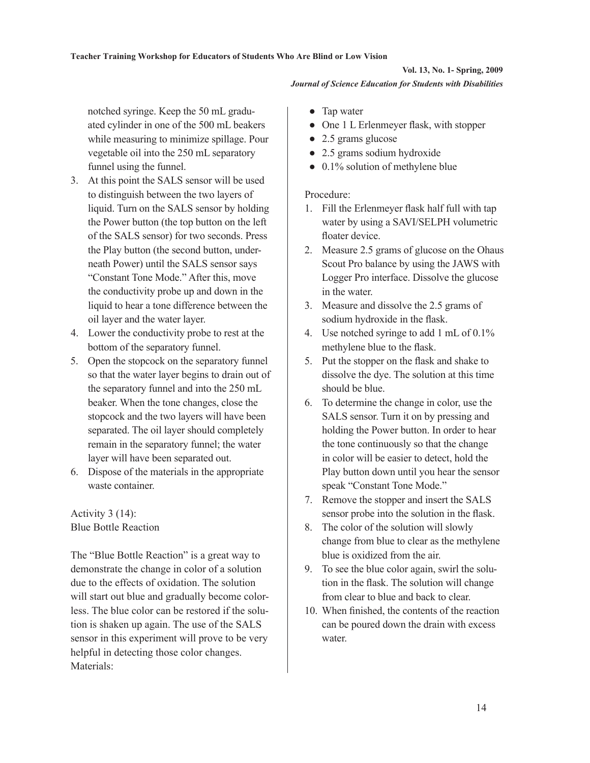notched syringe. Keep the 50 mL graduated cylinder in one of the 500 mL beakers while measuring to minimize spillage. Pour vegetable oil into the 250 mL separatory funnel using the funnel.

- 3. At this point the SALS sensor will be used to distinguish between the two layers of liquid. Turn on the SALS sensor by holding the Power button (the top button on the left of the SALS sensor) for two seconds. Press the Play button (the second button, underneath Power) until the SALS sensor says "Constant Tone Mode." After this, move the conductivity probe up and down in the liquid to hear a tone difference between the oil layer and the water layer.
- 4. Lower the conductivity probe to rest at the bottom of the separatory funnel.
- 5. Open the stopcock on the separatory funnel so that the water layer begins to drain out of the separatory funnel and into the 250 mL beaker. When the tone changes, close the stopcock and the two layers will have been separated. The oil layer should completely remain in the separatory funnel; the water layer will have been separated out.
- 6. Dispose of the materials in the appropriate waste container.

# Activity 3 (14): Blue Bottle Reaction

The "Blue Bottle Reaction" is a great way to demonstrate the change in color of a solution due to the effects of oxidation. The solution will start out blue and gradually become colorless. The blue color can be restored if the solution is shaken up again. The use of the SALS sensor in this experiment will prove to be very helpful in detecting those color changes. Materials:

- Tap water
- One 1 L Erlenmeyer flask, with stopper
- 2.5 grams glucose
- 2.5 grams sodium hydroxide
- $\bullet$  0.1% solution of methylene blue

### Procedure:

- 1. Fill the Erlenmeyer flask half full with tap water by using a SAVI/SELPH volumetric floater device.
- 2. Measure 2.5 grams of glucose on the Ohaus Scout Pro balance by using the JAWS with Logger Pro interface. Dissolve the glucose in the water.
- 3. Measure and dissolve the 2.5 grams of sodium hydroxide in the flask.
- 4. Use notched syringe to add 1 mL of 0.1% methylene blue to the flask.
- 5. Put the stopper on the flask and shake to dissolve the dye. The solution at this time should be blue.
- 6. To determine the change in color, use the SALS sensor. Turn it on by pressing and holding the Power button. In order to hear the tone continuously so that the change in color will be easier to detect, hold the Play button down until you hear the sensor speak "Constant Tone Mode."
- 7. Remove the stopper and insert the SALS sensor probe into the solution in the flask.
- 8. The color of the solution will slowly change from blue to clear as the methylene blue is oxidized from the air.
- 9. To see the blue color again, swirl the solution in the flask. The solution will change from clear to blue and back to clear.
- 10. When finished, the contents of the reaction can be poured down the drain with excess water.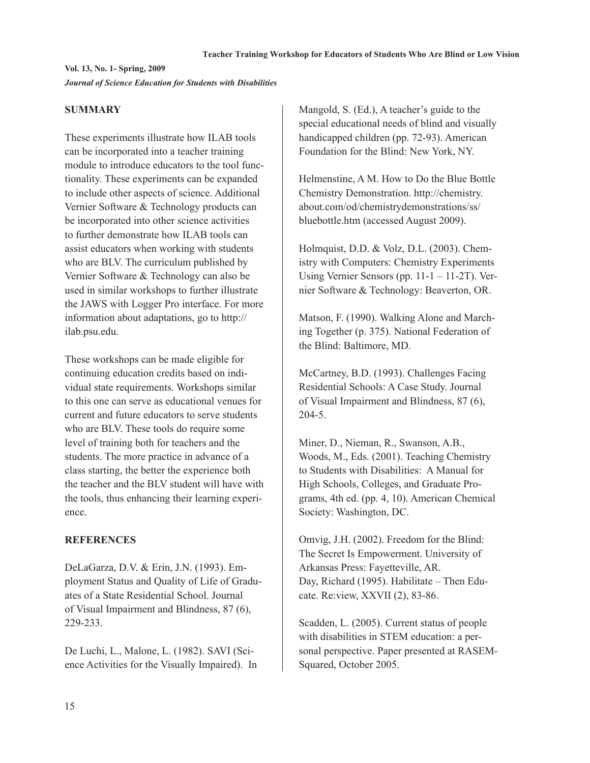### **SUMMARY**

These experiments illustrate how ILAB tools can be incorporated into a teacher training module to introduce educators to the tool functionality. These experiments can be expanded to include other aspects of science. Additional Vernier Software & Technology products can be incorporated into other science activities to further demonstrate how ILAB tools can assist educators when working with students who are BLV. The curriculum published by Vernier Software & Technology can also be used in similar workshops to further illustrate the JAWS with Logger Pro interface. For more information about adaptations, go to http:// ilab.psu.edu.

These workshops can be made eligible for continuing education credits based on individual state requirements. Workshops similar to this one can serve as educational venues for current and future educators to serve students who are BLV. These tools do require some level of training both for teachers and the students. The more practice in advance of a class starting, the better the experience both the teacher and the BLV student will have with the tools, thus enhancing their learning experience.

### **REFERENCES**

DeLaGarza, D.V. & Erin, J.N. (1993). Employment Status and Quality of Life of Graduates of a State Residential School. Journal of Visual Impairment and Blindness, 87 (6), 229-233.

De Luchi, L., Malone, L. (1982). SAVI (Science Activities for the Visually Impaired). In Mangold, S. (Ed.), A teacher's guide to the special educational needs of blind and visually handicapped children (pp. 72-93). American Foundation for the Blind: New York, NY.

Helmenstine, A M. How to Do the Blue Bottle Chemistry Demonstration. http://chemistry. about.com/od/chemistrydemonstrations/ss/ bluebottle.htm (accessed August 2009).

Holmquist, D.D. & Volz, D.L. (2003). Chemistry with Computers: Chemistry Experiments Using Vernier Sensors (pp. 11-1 – 11-2T). Vernier Software & Technology: Beaverton, OR.

Matson, F. (1990). Walking Alone and Marching Together (p. 375). National Federation of the Blind: Baltimore, MD.

McCartney, B.D. (1993). Challenges Facing Residential Schools: A Case Study. Journal of Visual Impairment and Blindness, 87 (6), 204-5.

Miner, D., Nieman, R., Swanson, A.B., Woods, M., Eds. (2001). Teaching Chemistry to Students with Disabilities: A Manual for High Schools, Colleges, and Graduate Programs, 4th ed. (pp. 4, 10). American Chemical Society: Washington, DC.

Omvig, J.H. (2002). Freedom for the Blind: The Secret Is Empowerment. University of Arkansas Press: Fayetteville, AR. Day, Richard (1995). Habilitate – Then Educate. Re:view, XXVII (2), 83-86.

Scadden, L. (2005). Current status of people with disabilities in STEM education: a personal perspective. Paper presented at RASEM-Squared, October 2005.